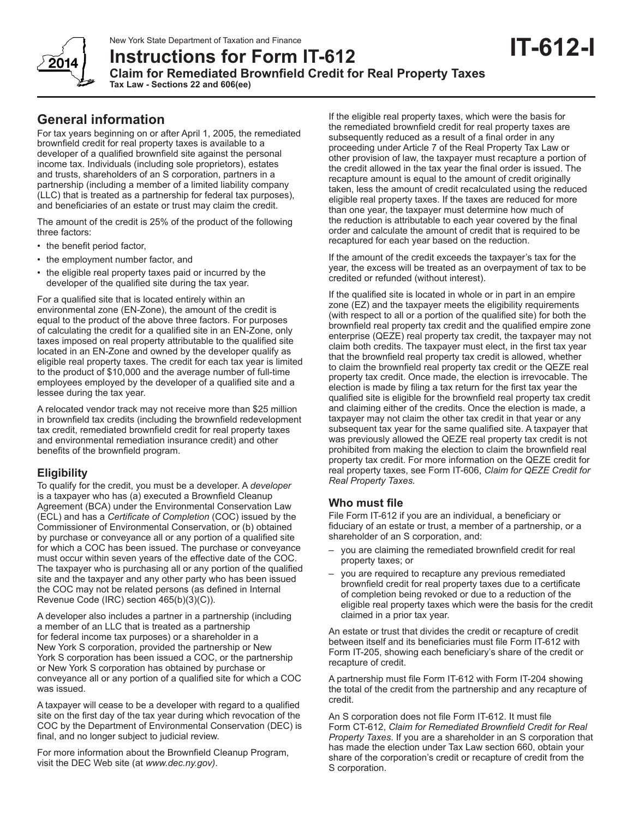New York State Department of Taxation and Finance

**Instructions for Form IT-612 Claim for Remediated Brownfield Credit for Real Property Taxes**

**Tax Law - Sections 22 and 606(ee)** 

# **General information**

For tax years beginning on or after April 1, 2005, the remediated brownfield credit for real property taxes is available to a developer of a qualified brownfield site against the personal income tax. Individuals (including sole proprietors), estates and trusts, shareholders of an S corporation, partners in a partnership (including a member of a limited liability company (LLC) that is treated as a partnership for federal tax purposes), and beneficiaries of an estate or trust may claim the credit.

The amount of the credit is 25% of the product of the following three factors:

- the benefit period factor,
- the employment number factor, and
- the eligible real property taxes paid or incurred by the developer of the qualified site during the tax year.

For a qualified site that is located entirely within an environmental zone (EN-Zone), the amount of the credit is equal to the product of the above three factors. For purposes of calculating the credit for a qualified site in an EN-Zone, only taxes imposed on real property attributable to the qualified site located in an EN-Zone and owned by the developer qualify as eligible real property taxes. The credit for each tax year is limited to the product of \$10,000 and the average number of full-time employees employed by the developer of a qualified site and a lessee during the tax year.

A relocated vendor track may not receive more than \$25 million in brownfield tax credits (including the brownfield redevelopment tax credit, remediated brownfield credit for real property taxes and environmental remediation insurance credit) and other benefits of the brownfield program.

## **Eligibility**

To qualify for the credit, you must be a developer. A *developer* is a taxpayer who has (a) executed a Brownfield Cleanup Agreement (BCA) under the Environmental Conservation Law (ECL) and has a *Certificate of Completion* (COC) issued by the Commissioner of Environmental Conservation, or (b) obtained by purchase or conveyance all or any portion of a qualified site for which a COC has been issued. The purchase or conveyance must occur within seven years of the effective date of the COC. The taxpayer who is purchasing all or any portion of the qualified site and the taxpayer and any other party who has been issued the COC may not be related persons (as defined in Internal Revenue Code (IRC) section 465(b)(3)(C)).

A developer also includes a partner in a partnership (including a member of an LLC that is treated as a partnership for federal income tax purposes) or a shareholder in a New York S corporation, provided the partnership or New York S corporation has been issued a COC, or the partnership or New York S corporation has obtained by purchase or conveyance all or any portion of a qualified site for which a COC was issued.

A taxpayer will cease to be a developer with regard to a qualified site on the first day of the tax year during which revocation of the COC by the Department of Environmental Conservation (DEC) is final, and no longer subject to judicial review.

For more information about the Brownfield Cleanup Program, visit the DEC Web site (at *www.dec.ny.gov)*.

If the eligible real property taxes, which were the basis for the remediated brownfield credit for real property taxes are subsequently reduced as a result of a final order in any proceeding under Article 7 of the Real Property Tax Law or other provision of law, the taxpayer must recapture a portion of the credit allowed in the tax year the final order is issued. The recapture amount is equal to the amount of credit originally taken, less the amount of credit recalculated using the reduced eligible real property taxes. If the taxes are reduced for more than one year, the taxpayer must determine how much of the reduction is attributable to each year covered by the final order and calculate the amount of credit that is required to be recaptured for each year based on the reduction.

If the amount of the credit exceeds the taxpayer's tax for the year, the excess will be treated as an overpayment of tax to be credited or refunded (without interest).

If the qualified site is located in whole or in part in an empire zone (EZ) and the taxpayer meets the eligibility requirements (with respect to all or a portion of the qualified site) for both the brownfield real property tax credit and the qualified empire zone enterprise (QEZE) real property tax credit, the taxpayer may not claim both credits. The taxpayer must elect, in the first tax year that the brownfield real property tax credit is allowed, whether to claim the brownfield real property tax credit or the QEZE real property tax credit. Once made, the election is irrevocable. The election is made by filing a tax return for the first tax year the qualified site is eligible for the brownfield real property tax credit and claiming either of the credits. Once the election is made, a taxpayer may not claim the other tax credit in that year or any subsequent tax year for the same qualified site. A taxpayer that was previously allowed the QEZE real property tax credit is not prohibited from making the election to claim the brownfield real property tax credit. For more information on the QEZE credit for real property taxes, see Form IT-606, *Claim for QEZE Credit for Real Property Taxes.*

## **Who must file**

File Form IT-612 if you are an individual, a beneficiary or fiduciary of an estate or trust, a member of a partnership, or a shareholder of an S corporation, and:

- you are claiming the remediated brownfield credit for real property taxes; or
- you are required to recapture any previous remediated brownfield credit for real property taxes due to a certificate of completion being revoked or due to a reduction of the eligible real property taxes which were the basis for the credit claimed in a prior tax year.

An estate or trust that divides the credit or recapture of credit between itself and its beneficiaries must file Form IT-612 with Form IT-205, showing each beneficiary's share of the credit or recapture of credit.

A partnership must file Form IT-612 with Form IT-204 showing the total of the credit from the partnership and any recapture of credit.

An S corporation does not file Form IT-612. It must file Form CT-612, *Claim for Remediated Brownfield Credit for Real Property Taxes*. If you are a shareholder in an S corporation that has made the election under Tax Law section 660, obtain your share of the corporation's credit or recapture of credit from the S corporation.

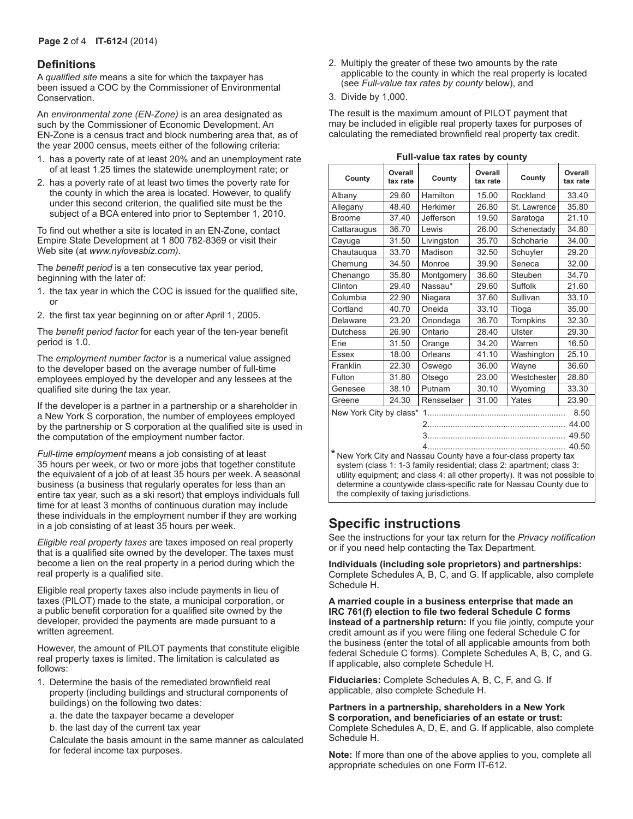#### **Definitions**

A *qualified site* means a site for which the taxpayer has been issued a COC by the Commissioner of Environmental Conservation.

An *environmental zone (EN-Zone)* is an area designated as such by the Commissioner of Economic Development. An EN-Zone is a census tract and block numbering area that, as of the year 2000 census, meets either of the following criteria:

- 1. has a poverty rate of at least 20% and an unemployment rate of at least 1.25 times the statewide unemployment rate; or
- 2. has a poverty rate of at least two times the poverty rate for the county in which the area is located. However, to qualify under this second criterion, the qualified site must be the subject of a BCA entered into prior to September 1, 2010.

To find out whether a site is located in an EN-Zone, contact Empire State Development at 1 800 782-8369 or visit their Web site (at *www.nylovesbiz.com)*.

The *benefit period* is a ten consecutive tax year period, beginning with the later of:

- 1. the tax year in which the COC is issued for the qualified site, or
- 2. the first tax year beginning on or after April 1, 2005.

The *benefit period factor* for each year of the ten-year benefit period is 1.0.

The *employment number factor* is a numerical value assigned to the developer based on the average number of full-time employees employed by the developer and any lessees at the qualified site during the tax year.

If the developer is a partner in a partnership or a shareholder in a New York S corporation, the number of employees employed by the partnership or S corporation at the qualified site is used in the computation of the employment number factor.

*Full-time employment* means a job consisting of at least 35 hours per week, or two or more jobs that together constitute the equivalent of a job of at least 35 hours per week. A seasonal business (a business that regularly operates for less than an entire tax year, such as a ski resort) that employs individuals full time for at least 3 months of continuous duration may include these individuals in the employment number if they are working in a job consisting of at least 35 hours per week.

*Eligible real property taxes* are taxes imposed on real property that is a qualified site owned by the developer. The taxes must become a lien on the real property in a period during which the real property is a qualified site.

Eligible real property taxes also include payments in lieu of taxes (PILOT) made to the state, a municipal corporation, or a public benefit corporation for a qualified site owned by the developer, provided the payments are made pursuant to a written agreement.

However, the amount of PILOT payments that constitute eligible real property taxes is limited. The limitation is calculated as follows:

- 1. Determine the basis of the remediated brownfield real property (including buildings and structural components of buildings) on the following two dates:
	- a. the date the taxpayer became a developer
	- b. the last day of the current tax year

Calculate the basis amount in the same manner as calculated for federal income tax purposes.

- 2. Multiply the greater of these two amounts by the rate applicable to the county in which the real property is located (see *Full-value tax rates by county* below), and
- 3. Divide by 1,000.

The result is the maximum amount of PILOT payment that may be included in eligible real property taxes for purposes of calculating the remediated brownfield real property tax credit.

| $\frac{1}{2}$ and $\frac{1}{2}$ and $\frac{1}{2}$ and $\frac{1}{2}$ and $\frac{1}{2}$ |                     |            |                     |                 |                     |  |  |
|---------------------------------------------------------------------------------------|---------------------|------------|---------------------|-----------------|---------------------|--|--|
| County                                                                                | Overall<br>tax rate | County     | Overall<br>tax rate | County          | Overall<br>tax rate |  |  |
| Albany                                                                                | 29.60               | Hamilton   | 15.00               | Rockland        | 33.40               |  |  |
| Allegany                                                                              | 48.40               | Herkimer   | 26.80               | St. Lawrence    | 35.80               |  |  |
| <b>Broome</b>                                                                         | 37.40               | Jefferson  | 19.50               | Saratoga        | 21.10               |  |  |
| Cattaraugus                                                                           | 36.70               | Lewis      | 26.00               | Schenectady     | 34.80               |  |  |
| Cayuga                                                                                | 31.50               | Livingston | 35.70               | Schoharie       | 34.00               |  |  |
| Chautauqua                                                                            | 33.70               | Madison    | 32.50               | Schuyler        | 29.20               |  |  |
| Chemung                                                                               | 34.50               | Monroe     | 39.90               | Seneca          | 32.00               |  |  |
| Chenango                                                                              | 35.80               | Montgomery | 36.60               | Steuben         | 34.70               |  |  |
| Clinton                                                                               | 29.40               | Nassau*    | 29.60               | Suffolk         | 21.60               |  |  |
| Columbia                                                                              | 22.90               | Niagara    | 37.60               | Sullivan        | 33.10               |  |  |
| Cortland                                                                              | 40.70               | Oneida     | 33.10               | Tioga           | 35.00               |  |  |
| Delaware                                                                              | 23.20               | Onondaga   | 36.70               | <b>Tompkins</b> | 32.30               |  |  |
| <b>Dutchess</b>                                                                       | 26.90               | Ontario    | 28.40               | Ulster          | 29.30               |  |  |
| Erie                                                                                  | 31.50               | Orange     | 34.20               | Warren          | 16.50               |  |  |
| <b>Essex</b>                                                                          | 18.00               | Orleans    | 41.10               | Washington      | 25.10               |  |  |
| Franklin                                                                              | 22.30               | Oswego     | 36.00               | Wayne           | 36.60               |  |  |
| Fulton                                                                                | 31.80               | Otsego     | 23.00               | Westchester     | 28.80               |  |  |
| Genesee                                                                               | 38.10               | Putnam     | 30.10               | Wyoming         | 33.30               |  |  |
| Greene                                                                                | 24.30               | Rensselaer | 31.00               | Yates           | 23.90               |  |  |
| New York City by class*<br>8.50                                                       |                     |            |                     |                 |                     |  |  |
| 44.00                                                                                 |                     |            |                     |                 |                     |  |  |
|                                                                                       | 49.50               |            |                     |                 |                     |  |  |
| 40.50                                                                                 |                     |            |                     |                 |                     |  |  |
| * New York City and Nassau County have a four-class property tax                      |                     |            |                     |                 |                     |  |  |

**Full-value tax rates by county**

\* New York City and Nassau County have a four-class property tax system (class 1: 1-3 family residential; class 2: apartment; class 3: utility equipment; and class 4: all other property). It was not possible to determine a countywide class-specific rate for Nassau County due to the complexity of taxing jurisdictions.

## **Specific instructions**

See the instructions for your tax return for the *Privacy notification*  or if you need help contacting the Tax Department.

**Individuals (including sole proprietors) and partnerships:**  Complete Schedules A, B, C, and G. If applicable, also complete Schedule H.

**A married couple in a business enterprise that made an IRC 761(f) election to file two federal Schedule C forms instead of a partnership return:** If you file jointly, compute your credit amount as if you were filing one federal Schedule C for the business (enter the total of all applicable amounts from both federal Schedule C forms). Complete Schedules A, B, C, and G. If applicable, also complete Schedule H.

**Fiduciaries:** Complete Schedules A, B, C, F, and G. If applicable, also complete Schedule H.

**Partners in a partnership, shareholders in a New York S corporation, and beneficiaries of an estate or trust:**  Complete Schedules A, D, E, and G. If applicable, also complete Schedule H.

**Note:** If more than one of the above applies to you, complete all appropriate schedules on one Form IT-612.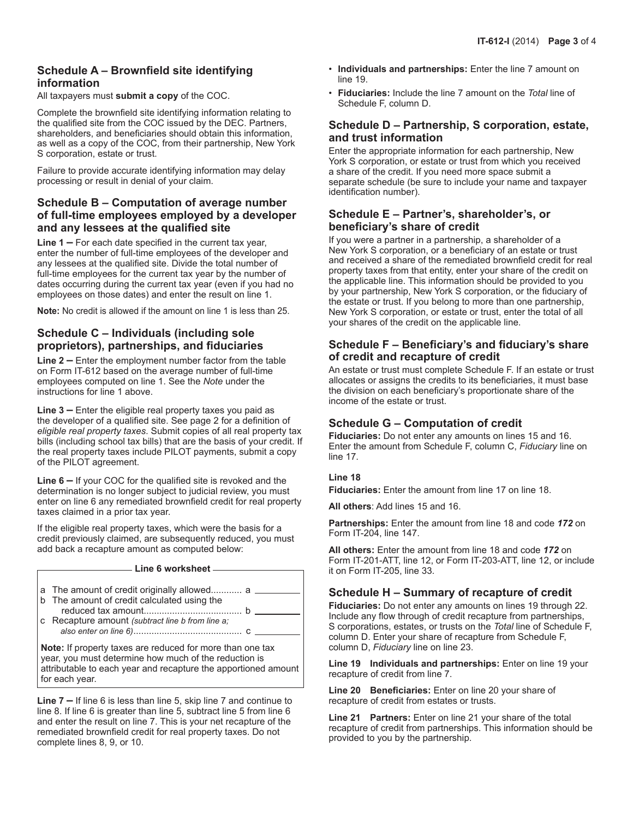### **Schedule A – Brownfield site identifying information**

All taxpayers must **submit a copy** of the COC.

Complete the brownfield site identifying information relating to the qualified site from the COC issued by the DEC. Partners, shareholders, and beneficiaries should obtain this information, as well as a copy of the COC, from their partnership, New York S corporation, estate or trust.

Failure to provide accurate identifying information may delay processing or result in denial of your claim.

#### **Schedule B – Computation of average number of full-time employees employed by a developer and any lessees at the qualified site**

**Line 1 –** For each date specified in the current tax year, enter the number of full-time employees of the developer and any lessees at the qualified site. Divide the total number of full-time employees for the current tax year by the number of dates occurring during the current tax year (even if you had no employees on those dates) and enter the result on line 1.

**Note:** No credit is allowed if the amount on line 1 is less than 25.

### **Schedule C – Individuals (including sole proprietors), partnerships, and fiduciaries**

**Line 2 –** Enter the employment number factor from the table on Form IT-612 based on the average number of full-time employees computed on line 1. See the *Note* under the instructions for line 1 above.

**Line 3 –** Enter the eligible real property taxes you paid as the developer of a qualified site. See page 2 for a definition of *eligible real property taxes*. Submit copies of all real property tax bills (including school tax bills) that are the basis of your credit. If the real property taxes include PILOT payments, submit a copy of the PILOT agreement.

**Line 6 –** If your COC for the qualified site is revoked and the determination is no longer subject to judicial review, you must enter on line 6 any remediated brownfield credit for real property taxes claimed in a prior tax year.

If the eligible real property taxes, which were the basis for a credit previously claimed, are subsequently reduced, you must add back a recapture amount as computed below:

#### **Line 6 worksheet**

| a The amount of credit originally allowed a<br>b The amount of credit calculated using the |  |
|--------------------------------------------------------------------------------------------|--|
|                                                                                            |  |
| c Recapture amount (subtract line b from line a;                                           |  |

**Note:** If property taxes are reduced for more than one tax year, you must determine how much of the reduction is attributable to each year and recapture the apportioned amount for each year.

**Line 7 –** If line 6 is less than line 5, skip line 7 and continue to line 8. If line 6 is greater than line 5, subtract line 5 from line 6 and enter the result on line 7. This is your net recapture of the remediated brownfield credit for real property taxes. Do not complete lines 8, 9, or 10.

- **Individuals and partnerships:** Enter the line 7 amount on line 19.
- **Fiduciaries:** Include the line 7 amount on the *Total* line of Schedule F, column D.

### **Schedule D – Partnership, S corporation, estate, and trust information**

Enter the appropriate information for each partnership, New York S corporation, or estate or trust from which you received a share of the credit. If you need more space submit a separate schedule (be sure to include your name and taxpayer identification number).

#### **Schedule E – Partner's, shareholder's, or beneficiary's share of credit**

If you were a partner in a partnership, a shareholder of a New York S corporation, or a beneficiary of an estate or trust and received a share of the remediated brownfield credit for real property taxes from that entity, enter your share of the credit on the applicable line. This information should be provided to you by your partnership, New York S corporation, or the fiduciary of the estate or trust. If you belong to more than one partnership, New York S corporation, or estate or trust, enter the total of all your shares of the credit on the applicable line.

#### **Schedule F – Beneficiary's and fiduciary's share of credit and recapture of credit**

An estate or trust must complete Schedule F. If an estate or trust allocates or assigns the credits to its beneficiaries, it must base the division on each beneficiary's proportionate share of the income of the estate or trust.

#### **Schedule G – Computation of credit**

**Fiduciaries:** Do not enter any amounts on lines 15 and 16. Enter the amount from Schedule F, column C, *Fiduciary* line on line 17.

#### **Line 18**

**Fiduciaries:** Enter the amount from line 17 on line 18.

**All others**: Add lines 15 and 16.

**Partnerships:** Enter the amount from line 18 and code *172* on Form IT-204, line 147.

**All others:** Enter the amount from line 18 and code *172* on Form IT-201-ATT, line 12, or Form IT-203-ATT, line 12, or include it on Form IT-205, line 33.

#### **Schedule H – Summary of recapture of credit**

**Fiduciaries:** Do not enter any amounts on lines 19 through 22. Include any flow through of credit recapture from partnerships, S corporations, estates, or trusts on the *Total* line of Schedule F, column D. Enter your share of recapture from Schedule F, column D, *Fiduciary* line on line 23.

**Line 19 Individuals and partnerships:** Enter on line 19 your recapture of credit from line 7.

**Line 20 Beneficiaries:** Enter on line 20 your share of recapture of credit from estates or trusts.

**Line 21 Partners:** Enter on line 21 your share of the total recapture of credit from partnerships. This information should be provided to you by the partnership.